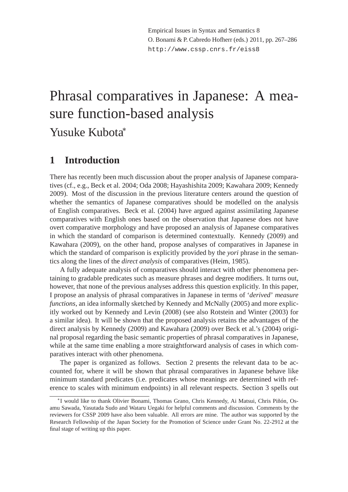# Phrasal comparatives in Japanese: A measure function-based analysis Yusuke Kubota<sup>∗</sup>

# **1 Introduction**

There has recently been much discussion about the proper analysis of Japanese comparatives (cf., e.g., Beck et al. 2004; Oda 2008; Hayashishita 2009; Kawahara 2009; Kennedy 2009). Most of the discussion in the previous literature centers around the question of whether the semantics of Japanese comparatives should be modelled on the analysis of English comparatives. Beck et al. (2004) have argued against assimilating Japanese comparatives with English ones based on the observation that Japanese does not have overt comparative morphology and have proposed an analysis of Japanese comparatives in which the standard of comparison is determined contextually. Kennedy (2009) and Kawahara (2009), on the other hand, propose analyses of comparatives in Japanese in which the standard of comparison is explicitly provided by the *yori* phrase in the semantics along the lines of the *direct analysis* of comparatives (Heim, 1985).

A fully adequate analysis of comparatives should interact with other phenomena pertaining to gradable predicates such as measure phrases and degree modifiers. It turns out, however, that none of the previous analyses address this question explicitly. In this paper, I propose an analysis of phrasal comparatives in Japanese in terms of '*derived*' *measure functions*, an idea informally sketched by Kennedy and McNally (2005) and more explicitly worked out by Kennedy and Levin (2008) (see also Rotstein and Winter (2003) for a similar idea). It will be shown that the proposed analysis retains the advantages of the direct analysis by Kennedy (2009) and Kawahara (2009) over Beck et al.'s (2004) original proposal regarding the basic semantic properties of phrasal comparatives in Japanese, while at the same time enabling a more straightforward analysis of cases in which comparatives interact with other phenomena.

The paper is organized as follows. Section 2 presents the relevant data to be accounted for, where it will be shown that phrasal comparatives in Japanese behave like minimum standard predicates (i.e. predicates whose meanings are determined with reference to scales with minimum endpoints) in all relevant respects. Section 3 spells out

<sup>∗</sup> I would like to thank Olivier Bonami, Thomas Grano, Chris Kennedy, Ai Matsui, Chris Piñón, Osamu Sawada, Yasutada Sudo and Wataru Uegaki for helpful comments and discussion. Comments by the reviewers for CSSP 2009 have also been valuable. All errors are mine. The author was supported by the Research Fellowship of the Japan Society for the Promotion of Science under Grant No. 22-2912 at the final stage of writing up this paper.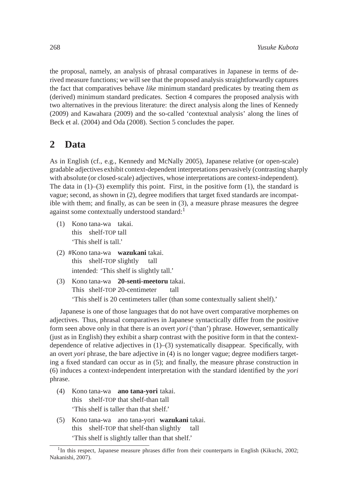the proposal, namely, an analysis of phrasal comparatives in Japanese in terms of derived measure functions; we will see that the proposed analysis straightforwardly captures the fact that comparatives behave *like* minimum standard predicates by treating them *as* (derived) minimum standard predicates. Section 4 compares the proposed analysis with two alternatives in the previous literature: the direct analysis along the lines of Kennedy (2009) and Kawahara (2009) and the so-called 'contextual analysis' along the lines of Beck et al. (2004) and Oda (2008). Section 5 concludes the paper.

# **2 Data**

As in English (cf., e.g., Kennedy and McNally 2005), Japanese relative (or open-scale) gradable adjectives exhibit context-dependent interpretations pervasively (contrasting sharply with absolute (or closed-scale) adjectives, whose interpretations are context-independent). The data in  $(1)$ – $(3)$  exemplify this point. First, in the positive form  $(1)$ , the standard is vague; second, as shown in (2), degree modifiers that target fixed standards are incompatible with them; and finally, as can be seen in (3), a measure phrase measures the degree against some contextually understood standard:<sup>1</sup>

- (1) Kono tana-wa takai. this shelf-TOP tall 'This shelf is tall.'
- (2) #Kono tana-wa **wazukani** takai. this shelf-TOP slightly tall intended: 'This shelf is slightly tall.'
- (3) Kono tana-wa **20-senti-meetoru** takai. This shelf-TOP 20-centimeter tall 'This shelf is 20 centimeters taller (than some contextually salient shelf).'

Japanese is one of those languages that do not have overt comparative morphemes on adjectives. Thus, phrasal comparatives in Japanese syntactically differ from the positive form seen above only in that there is an overt *yori* ('than') phrase. However, semantically (just as in English) they exhibit a sharp contrast with the positive form in that the contextdependence of relative adjectives in (1)–(3) systematically disappear. Specifically, with an overt *yori* phrase, the bare adjective in (4) is no longer vague; degree modifiers targeting a fixed standard can occur as in (5); and finally, the measure phrase construction in (6) induces a context-independent interpretation with the standard identified by the *yori* phrase.

- (4) Kono tana-wa **ano tana-yori** takai. this shelf-TOP that shelf-than tall 'This shelf is taller than that shelf.'
- (5) Kono tana-wa ano tana-yori **wazukani** takai. this shelf-TOP that shelf-than slightly tall 'This shelf is slightly taller than that shelf.'

<sup>&</sup>lt;sup>1</sup>In this respect, Japanese measure phrases differ from their counterparts in English (Kikuchi, 2002; Nakanishi, 2007).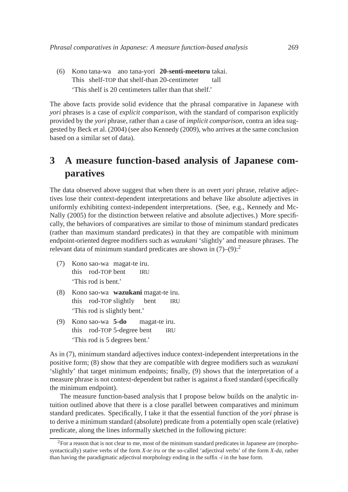(6) Kono tana-wa ano tana-yori **20-senti-meetoru** takai. This shelf-TOP that shelf-than 20-centimeter tall 'This shelf is 20 centimeters taller than that shelf.'

The above facts provide solid evidence that the phrasal comparative in Japanese with *yori* phrases is a case of *explicit comparison*, with the standard of comparison explicitly provided by the *yori* phrase, rather than a case of *implicit comparison*, contra an idea suggested by Beck et al. (2004) (see also Kennedy (2009), who arrives at the same conclusion based on a similar set of data).

# **3 A measure function-based analysis of Japanese comparatives**

The data observed above suggest that when there is an overt *yori* phrase, relative adjectives lose their context-dependent interpretations and behave like absolute adjectives in uniformly exhibiting context-independent interpretations. (See, e.g., Kennedy and Mc-Nally (2005) for the distinction between relative and absolute adjectives.) More specifically, the behaviors of comparatives are similar to those of minimum standard predicates (rather than maximum standard predicates) in that they are compatible with minimum endpoint-oriented degree modifiers such as *wazukani* 'slightly' and measure phrases. The relevant data of minimum standard predicates are shown in  $(7)-(9)$ :<sup>2</sup>

- (7) Kono sao-wa magat-te iru. this rod-TOP bent IRU 'This rod is bent.'
- (8) Kono sao-wa **wazukani** magat-te iru. this rod-TOP slightly bent IRU 'This rod is slightly bent.'
- (9) Kono sao-wa **5-do** this rod-TOP 5-degree bent magat-te iru. IRU 'This rod is 5 degrees bent.'

As in (7), minimum standard adjectives induce context-independent interpretations in the positive form; (8) show that they are compatible with degree modifiers such as *wazukani* 'slightly' that target minimum endpoints; finally, (9) shows that the interpretation of a measure phrase is not context-dependent but rather is against a fixed standard (specifically the minimum endpoint).

The measure function-based analysis that I propose below builds on the analytic intuition outlined above that there is a close parallel between comparatives and minimum standard predicates. Specifically, I take it that the essential function of the *yori* phrase is to derive a minimum standard (absolute) predicate from a potentially open scale (relative) predicate, along the lines informally sketched in the following picture:

 ${}^{2}$ For a reason that is not clear to me, most of the minimum standard predicates in Japanese are (morphosyntactically) stative verbs of the form *X-te iru* or the so-called 'adjectival verbs' of the form *X-da*, rather than having the paradigmatic adjectival morphology ending in the suffix *-i* in the base form.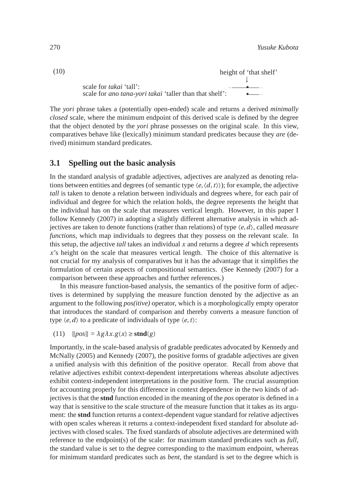(10) height of 'that shelf' ↓ • • scale for *takai* 'tall': scale for *ano tana-yori takai* 'taller than that shelf':

The *yori* phrase takes a (potentially open-ended) scale and returns a derived *minimally closed* scale, where the minimum endpoint of this derived scale is defined by the degree that the object denoted by the *yori* phrase possesses on the original scale. In this view, comparatives behave like (lexically) minimum standard predicates because they *are* (derived) minimum standard predicates.

## **3.1 Spelling out the basic analysis**

In the standard analysis of gradable adjectives, adjectives are analyzed as denoting relations between entities and degrees (of semantic type  $\langle e, \langle d, t \rangle$ ); for example, the adjective *tall* is taken to denote a relation between individuals and degrees where, for each pair of individual and degree for which the relation holds, the degree represents the height that the individual has on the scale that measures vertical length. However, in this paper I follow Kennedy (2007) in adopting a slightly different alternative analysis in which adjectives are taken to denote functions (rather than relations) of type 〈*e*,*d*〉, called *measure functions*, which map individuals to degrees that they possess on the relevant scale. In this setup, the adjective *tall* takes an individual *x* and returns a degree *d* which represents *x*'s height on the scale that measures vertical length. The choice of this alternative is not crucial for my analysis of comparatives but it has the advantage that it simplifies the formulation of certain aspects of compositional semantics. (See Kennedy (2007) for a comparison between these approaches and further references.)

In this measure function-based analysis, the semantics of the positive form of adjectives is determined by supplying the measure function denoted by the adjective as an argument to the following *pos(itive)* operator, which is a morphologically empty operator that introduces the standard of comparison and thereby converts a measure function of type  $\langle e, d \rangle$  to a predicate of individuals of type  $\langle e, t \rangle$ :

 $([11)$   $[[pos]] = \lambda g \lambda x. g(x) \ge \text{stnd}(g)$ 

Importantly, in the scale-based analysis of gradable predicates advocated by Kennedy and McNally (2005) and Kennedy (2007), the positive forms of gradable adjectives are given a unified analysis with this definition of the positive operator. Recall from above that relative adjectives exhibit context-dependent interpretations whereas absolute adjectives exhibit context-independent interpretations in the positive form. The crucial assumption for accounting properly for this difference in context dependence in the two kinds of adjectives is that the **stnd** function encoded in the meaning of the *pos* operator is defined in a way that is sensitive to the scale structure of the measure function that it takes as its argument: the **stnd** function returns a context-dependent vague standard for relative adjectives with open scales whereas it returns a context-independent fixed standard for absolute adjectives with closed scales. The fixed standards of absolute adjectives are determined with reference to the endpoint(s) of the scale: for maximum standard predicates such as *full*, the standard value is set to the degree corresponding to the maximum endpoint, whereas for minimum standard predicates such as *bent*, the standard is set to the degree which is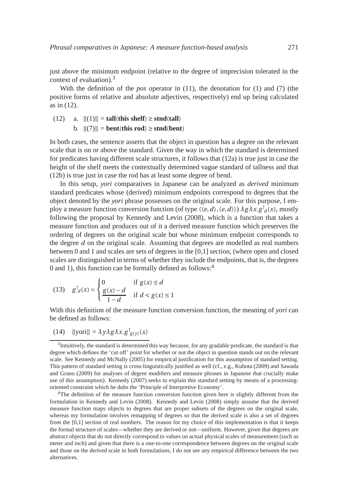just above the minimum endpoint (relative to the degree of imprecision tolerated in the context of evaluation).<sup>3</sup>

With the definition of the *pos* operator in (11), the denotation for (1) and (7) (the positive forms of relative and absolute adjectives, respectively) end up being calculated as in (12).

$$
(12) \quad \text{a.} \quad [[(1)]] = \text{tall}(\text{this shelf}) \ge \text{stnd}(\text{tall})
$$

**b.**  $[[(7)]$  = **bent**(**this rod**)  $\ge$  **stnd**(**bent**)

In both cases, the sentence asserts that the object in question has a degree on the relevant scale that is on or above the standard. Given the way in which the standard is determined for predicates having different scale structures, it follows that (12a) is true just in case the height of the shelf meets the contextually determined vague standard of tallness and that (12b) is true just in case the rod has at least some degree of bend.

In this setup, *yori* comparatives in Japanese can be analyzed as *derived* minimum standard predicates whose (derived) minimum endpoints correspond to degrees that the object denoted by the *yori* phrase possesses on the original scale. For this purpose, I employ a measure function conversion function (of type  $\langle \langle e, d \rangle, \langle e, d \rangle \rangle$ )  $\lambda g \lambda x. g$ <sup>†</sup><sub>*d*</sub>(*x*), mostly following the proposal by Kennedy and Levin (2008), which is a function that takes a measure function and produces out of it a derived measure function which preserves the ordering of degrees on the original scale but whose minimum endpoint corresponds to the degree *d* on the original scale. Assuming that degrees are modelled as real numbers between 0 and 1 and scales are sets of degrees in the [0,1] section, (where open and closed scales are distinguished in terms of whether they include the endpoints, that is, the degrees 0 and 1), this function can be formally defined as follows:<sup>4</sup>

$$
(13) \quad g^\dagger_a(x) = \begin{cases} 0 & \text{if } g(x) \le d \\ \frac{g(x) - d}{1 - d} & \text{if } d < g(x) \le 1 \end{cases}
$$

With this definition of the measure function conversion function, the meaning of *yori* can be defined as follows:

(14)  $[[\text{yori}]] = \lambda y \lambda g \lambda x. g_{g(y)}^{\dagger}(x)$ 

<sup>4</sup>The definition of the measure function conversion function given here is slightly different from the formulation in Kennedy and Levin (2008). Kennedy and Levin (2008) simply assume that the derived measure function maps objects to degrees that are proper subsets of the degrees on the original scale, whereas my formulation involves remapping of degrees so that the derived scale is also a set of degrees from the [0,1] section of real numbers. The reason for my choice of this implementation is that it keeps the formal structure of scales—whether they are derived or not—uniform. However, given that degrees are abstract objects that do not directly correspond to values on actual physical scales of measurement (such as meter and inch) and given that there is a one-to-one correspondence between degrees on the original scale and those on the derived scale in both formulations, I do not see any empirical difference between the two alternatives.

 $3$ Intuitively, the standard is determined this way because, for any gradable predicate, the standard is that degree which defines the 'cut off' point for whether or not the object in question stands out on the relevant scale. See Kennedy and McNally (2005) for empirical justification for this assumption of standard setting. This pattern of standard setting is cross-linguistically justified as well (cf., e.g., Kubota (2009) and Sawada and Grano (2009) for analyses of degree modifiers and measure phrases in Japanese that crucially make use of this assumption). Kennedy (2007) seeks to explain this standard setting by means of a processingoriented constraint which he dubs the 'Principle of Interpretive Economy'.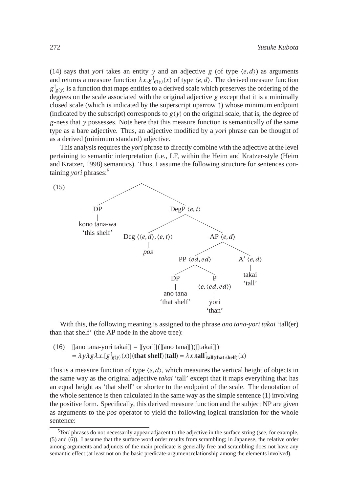(14) says that *yori* takes an entity *y* and an adjective *g* (of type  $\langle e, d \rangle$ ) as arguments and returns a measure function  $\lambda x. g_{g(y)}^{\dagger}(x)$  of type  $\langle e, d \rangle$ . The derived measure function  $g_{(y)}^{\dagger}$  is a function that maps entities to a derived scale which preserves the ordering of the degrees on the scale associated with the original adjective *g* except that it is a minimally closed scale (which is indicated by the superscript uparrow ↑) whose minimum endpoint (indicated by the subscript) corresponds to  $g(y)$  on the original scale, that is, the degree of *g* -ness that *y* possesses. Note here that this measure function is semantically of the same type as a bare adjective. Thus, an adjective modified by a *yori* phrase can be thought of as a derived (minimum standard) adjective.

This analysis requires the *yori* phrase to directly combine with the adjective at the level pertaining to semantic interpretation (i.e., LF, within the Heim and Kratzer-style (Heim and Kratzer, 1998) semantics). Thus, I assume the following structure for sentences containing *yori* phrases:<sup>5</sup>



With this, the following meaning is assigned to the phrase *ano tana-yori takai* 'tall(er) than that shelf' (the AP node in the above tree):

(16)  $\text{[[ano tana-yori takai]]} = \text{[[yori]]}(\text{[[ano tana]]})(\text{[[takai]]})$  $= \lambda y \lambda g \lambda x.$   $[g(y)(x)]$  (that shelf) (tall)  $= \lambda x$ .tall  $\int_{\text{tall}(\text{that shelf})}(x)$ 

This is a measure function of type  $\langle e, d \rangle$ , which measures the vertical height of objects in the same way as the original adjective *takai* 'tall' except that it maps everything that has an equal height as 'that shelf' or shorter to the endpoint of the scale. The denotation of the whole sentence is then calculated in the same way as the simple sentence (1) involving the positive form. Specifically, this derived measure function and the subject NP are given as arguments to the *pos* operator to yield the following logical translation for the whole sentence:

<sup>&</sup>lt;sup>5</sup>*Yori* phrases do not necessarily appear adjacent to the adjective in the surface string (see, for example, (5) and (6)). I assume that the surface word order results from scrambling; in Japanese, the relative order among arguments and adjuncts of the main predicate is generally free and scrambling does not have any semantic effect (at least not on the basic predicate-argument relationship among the elements involved).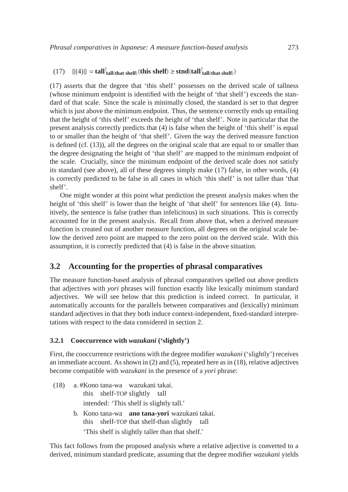# $[[(4)]] = \tanh^{\dagger}_{\text{tall}(\text{that shelf})}(\text{this shelf}) \ge \text{stnd}(\text{tall}^{\dagger}_{\text{tall}(\text{that shelf})})$

(17) asserts that the degree that 'this shelf' possesses on the derived scale of tallness (whose minimum endpoint is identified with the height of 'that shelf') exceeds the standard of that scale. Since the scale is minimally closed, the standard is set to that degree which is just above the minimum endpoint. Thus, the sentence correctly ends up entailing that the height of 'this shelf' exceeds the height of 'that shelf'. Note in particular that the present analysis correctly predicts that (4) is false when the height of 'this shelf' is equal to or smaller than the height of 'that shelf'. Given the way the derived measure function is defined (cf. (13)), all the degrees on the original scale that are equal to or smaller than the degree designating the height of 'that shelf' are mapped to the minimum endpoint of the scale. Crucially, since the minimum endpoint of the derived scale does not satisfy its standard (see above), all of these degrees simply make (17) false, in other words, (4) is correctly predicted to be false in all cases in which 'this shelf' is not taller than 'that shelf'.

One might wonder at this point what prediction the present analysis makes when the height of 'this shelf' is lower than the height of 'that shelf' for sentences like (4). Intuitively, the sentence is false (rather than infelicitous) in such situations. This is correctly accounted for in the present analysis. Recall from above that, when a derived measure function is created out of another measure function, all degrees on the original scale below the derived zero point are mapped to the zero point on the derived scale. With this assumption, it is correctly predicted that (4) is false in the above situation.

# **3.2 Accounting for the properties of phrasal comparatives**

The measure function-based analysis of phrasal comparatives spelled out above predicts that adjectives with *yori* phrases will function exactly like lexically minimum standard adjectives. We will see below that this prediction is indeed correct. In particular, it automatically accounts for the parallels between comparatives and (lexically) minimum standard adjectives in that they both induce context-independent, fixed-standard interpretations with respect to the data considered in section 2.

## **3.2.1 Cooccurrence with** *wazukani* **('slightly')**

First, the cooccurrence restrictions with the degree modifier *wazukani* ('slightly') receives an immediate account. As shown in (2) and (5), repeated here as in (18), relative adjectives become compatible with *wazukani* in the presence of a *yori* phrase:

- (18) a. #Kono tana-wa wazukani takai. this shelf-TOP slightly tall intended: 'This shelf is slightly tall.'
	- b. Kono tana-wa **ano tana-yori** wazukani takai. this shelf-TOP that shelf-than slightly tall 'This shelf is slightly taller than that shelf.'

This fact follows from the proposed analysis where a relative adjective is converted to a derived, minimum standard predicate, assuming that the degree modifier *wazukani* yields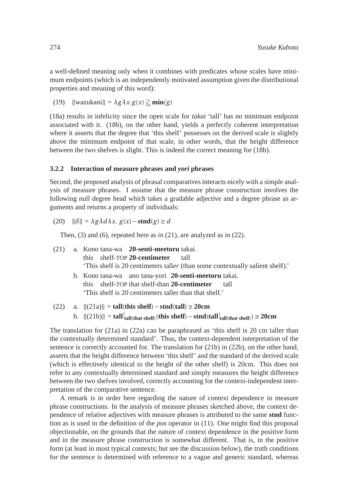a well-defined meaning only when it combines with predicates whose scales have minimum endpoints (which is an independently motivated assumption given the distributional properties and meaning of this word):

(19)  $[\text{wazukan}] = \lambda g \lambda x. g(x) \gtrsim \min(g)$ 

(18a) results in infelicity since the open scale for *takai* 'tall' has no minimum endpoint associated with it. (18b), on the other hand, yields a perfectly coherent interpretation where it asserts that the degree that 'this shelf' possesses on the derived scale is slightly above the minimum endpoint of that scale, in other words, that the height difference between the two shelves is slight. This is indeed the correct meaning for (18b).

#### **3.2.2 Interaction of measure phrases and** *yori* **phrases**

Second, the proposed analysis of phrasal comparatives interacts nicely with a simple analysis of measure phrases. I assume that the measure phrase construction involves the following null degree head which takes a gradable adjective and a degree phrase as arguments and returns a property of individuals:

 $(20)$   $[|\delta|] = \lambda g \lambda d \lambda x$ .  $g(x) - \text{stnd}(g) \ge d$ 

Then, (3) and (6), repeated here as in (21), are analyzed as in (22).

- (21) a. Kono tana-wa **20-senti-meetoru** takai. this shelf-TOP **20-centimeter** tall 'This shelf is 20 centimeters tall*er* (than some contextually salient shelf).' b. Kono tana-wa ano tana-yori **20-senti-meetoru** takai. this shelf-TOP that shelf-than **20-centimeter** tall 'This shelf is 20 centimeters taller than that shelf.' (22) a. [[(21a)]] = **tall**(**this shelf**)−**stnd**(**tall**) ≥ **20cm**
	- **b.**  $[[(21b)]] = \tanh^{\dagger}_{\text{tall}(\text{that shelf})}(\text{this shelf}) \text{stnd}(\tanh^{\dagger}_{\text{tall}(\text{that shelf})}) \ge 20 \text{cm}$

The translation for (21a) in (22a) can be paraphrased as 'this shelf is 20 cm taller than the contextually determined standard'. Thus, the context-dependent interpretation of the sentence is correctly accounted for. The translation for (21b) in (22b), on the other hand, asserts that the height difference between 'this shelf' and the standard of the derived scale (which is effectively identical to the height of the other shelf) is 20cm. This does not refer to any contextually determined standard and simply measures the height difference between the two shelves involved, correctly accounting for the context-independent interpretation of the comparative sentence.

A remark is in order here regarding the nature of context dependence in measure phrase constructions. In the analysis of measure phrases sketched above, the context dependence of relative adjectives with measure phrases is attributed to the same **stnd** function as is used in the definition of the *pos* operator in (11). One might find this proposal objectionable, on the grounds that the nature of context dependence in the positive form and in the measure phrase construction is somewhat different. That is, in the positive form (at least in most typical contexts; but see the discussion below), the truth conditions for the sentence is determined with reference to a vague and generic standard, whereas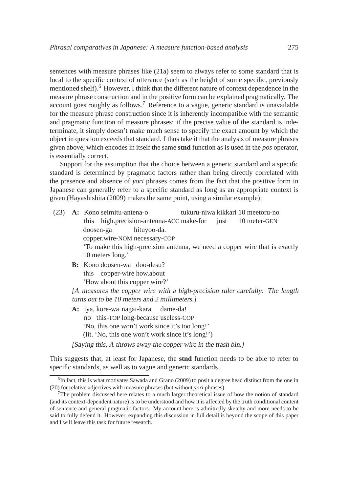sentences with measure phrases like (21a) seem to always refer to some standard that is local to the specific context of utterance (such as the height of some specific, previously mentioned shelf).<sup>6</sup> However, I think that the different nature of context dependence in the measure phrase construction and in the positive form can be explained pragmatically. The account goes roughly as follows.<sup>7</sup> Reference to a vague, generic standard is unavailable for the measure phrase construction since it is inherently incompatible with the semantic and pragmatic function of measure phrases: if the precise value of the standard is indeterminate, it simply doesn't make much sense to specify the exact amount by which the object in question exceeds that standard. I thus take it that the analysis of measure phrases given above, which encodes in itself the same **stnd** function as is used in the *pos* operator, is essentially correct.

Support for the assumption that the choice between a generic standard and a specific standard is determined by pragmatic factors rather than being directly correlated with the presence and absence of *yori* phrases comes from the fact that the positive form in Japanese can generally refer to a specific standard as long as an appropriate context is given (Hayashishita (2009) makes the same point, using a similar example):

- (23) **A:** Kono seimitu-antena-o this high.precision-antenna-ACC make-for tukuru-niwa kikkari 10 meetoru-no just 10 meter-GEN doosen-ga copper.wire-NOM necessary-COP hituyoo-da. 'To make this high-precision antenna, we need a copper wire that is exactly 10 meters long.'
	- **B:** Kono doosen-wa doo-desu? this copper-wire how.about 'How about this copper wire?'

[A measures the copper wire with <sup>a</sup> high-precision ruler carefully. The length turns out to be <sup>10</sup> meters and <sup>2</sup> millimeters.]

**A:** Iya, kore-wa nagai-kara no this-TOP long-because useless-COP dame-da! 'No, this one won't work since it's too long!' (lit. 'No, this one won't work since it's long!')

[Saying this, <sup>A</sup> throws away the copper wire in the trash bin.]

This suggests that, at least for Japanese, the **stnd** function needs to be able to refer to specific standards, as well as to vague and generic standards.

<sup>&</sup>lt;sup>6</sup>In fact, this is what motivates Sawada and Grano (2009) to posit a degree head distinct from the one in (20) for relative adjectives with measure phrases (but without *yori* phrases).

 $7$ The problem discussed here relates to a much larger theoretical issue of how the notion of standard (and its context-dependent nature) is to be understood and how it is affected by the truth conditional content of sentence and general pragmatic factors. My account here is admittedly sketchy and more needs to be said to fully defend it. However, expanding this discussion in full detail is beyond the scope of this paper and I will leave this task for future research.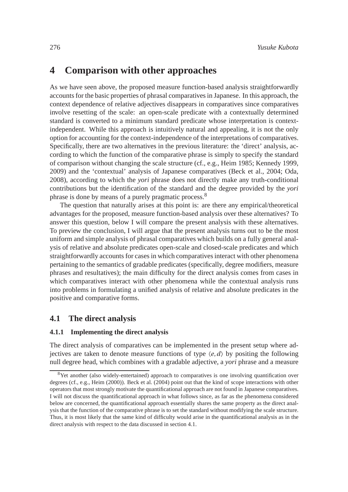# **4 Comparison with other approaches**

As we have seen above, the proposed measure function-based analysis straightforwardly accounts for the basic properties of phrasal comparatives in Japanese. In this approach, the context dependence of relative adjectives disappears in comparatives since comparatives involve resetting of the scale: an open-scale predicate with a contextually determined standard is converted to a minimum standard predicate whose interpretation is contextindependent. While this approach is intuitively natural and appealing, it is not the only option for accounting for the context-independence of the interpretations of comparatives. Specifically, there are two alternatives in the previous literature: the 'direct' analysis, according to which the function of the comparative phrase is simply to specify the standard of comparison without changing the scale structure (cf., e.g., Heim 1985; Kennedy 1999, 2009) and the 'contextual' analysis of Japanese comparatives (Beck et al., 2004; Oda, 2008), according to which the *yori* phrase does not directly make any truth-conditional contributions but the identification of the standard and the degree provided by the *yori* phrase is done by means of a purely pragmatic process.<sup>8</sup>

The question that naturally arises at this point is: are there any empirical/theoretical advantages for the proposed, measure function-based analysis over these alternatives? To answer this question, below I will compare the present analysis with these alternatives. To preview the conclusion, I will argue that the present analysis turns out to be the most uniform and simple analysis of phrasal comparatives which builds on a fully general analysis of relative and absolute predicates open-scale and closed-scale predicates and which straightforwardly accounts for cases in which comparatives interact with other phenomena pertaining to the semantics of gradable predicates (specifically, degree modifiers, measure phrases and resultatives); the main difficulty for the direct analysis comes from cases in which comparatives interact with other phenomena while the contextual analysis runs into problems in formulating a unified analysis of relative and absolute predicates in the positive and comparative forms.

## **4.1 The direct analysis**

## **4.1.1 Implementing the direct analysis**

The direct analysis of comparatives can be implemented in the present setup where adjectives are taken to denote measure functions of type  $\langle e, d \rangle$  by positing the following null degree head, which combines with a gradable adjective, a *yori* phrase and a measure

<sup>&</sup>lt;sup>8</sup>Yet another (also widely-entertained) approach to comparatives is one involving quantification over degrees (cf., e.g., Heim (2000)). Beck et al. (2004) point out that the kind of scope interactions with other operators that most strongly motivate the quantificational approach are not found in Japanese comparatives. I will not discuss the quantificational approach in what follows since, as far as the phenomena considered below are concerned, the quantificational approach essentially shares the same property as the direct analysis that the function of the comparative phrase is to set the standard without modifying the scale structure. Thus, it is most likely that the same kind of difficulty would arise in the quantificational analysis as in the direct analysis with respect to the data discussed in section 4.1.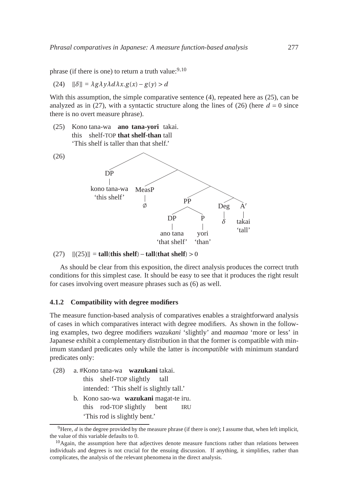phrase (if there is one) to return a truth value:  $9,10$ 

$$
(24) \quad [[\delta]] = \lambda g \lambda y \lambda d \lambda x. g(x) - g(y) > d
$$

With this assumption, the simple comparative sentence (4), repeated here as (25), can be analyzed as in (27), with a syntactic structure along the lines of (26) (here  $d = 0$  since there is no overt measure phrase).

(25) Kono tana-wa **ano tana-yori** takai. this shelf-TOP **that shelf-than** tall 'This shelf is taller than that shelf.'



#### (27) [[(25)]] = **tall**(**this shelf**)−**tall**(**that shelf**) > 0

As should be clear from this exposition, the direct analysis produces the correct truth conditions for this simplest case. It should be easy to see that it produces the right result for cases involving overt measure phrases such as (6) as well.

#### **4.1.2 Compatibility with degree modifiers**

The measure function-based analysis of comparatives enables a straightforward analysis of cases in which comparatives interact with degree modifiers. As shown in the following examples, two degree modifiers *wazukani* 'slightly' and *maamaa* 'more or less' in Japanese exhibit a complementary distribution in that the former is compatible with minimum standard predicates only while the latter is *incompatible* with minimum standard predicates only:

(28) a. #Kono tana-wa **wazukani** takai. this shelf-TOP slightly tall intended: 'This shelf is slightly tall.' b. Kono sao-wa **wazukani** magat-te iru. this rod-TOP slightly bent **IRU** 'This rod is slightly bent.'

<sup>&</sup>lt;sup>9</sup>Here, *d* is the degree provided by the measure phrase (if there is one); I assume that, when left implicit, the value of this variable defaults to 0.

 $10$ Again, the assumption here that adjectives denote measure functions rather than relations between individuals and degrees is not crucial for the ensuing discussion. If anything, it simplifies, rather than complicates, the analysis of the relevant phenomena in the direct analysis.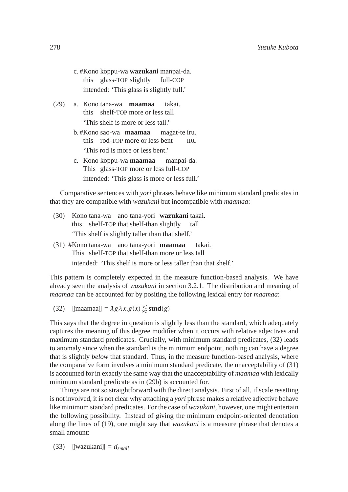- c. #Kono koppu-wa **wazukani** manpai-da. this glass-TOP slightly full-COP intended: 'This glass is slightly full.'
- (29) a. Kono tana-wa **maamaa** this shelf-TOP more or less tall takai. 'This shelf is more or less tall.'
	- b. #Kono sao-wa **maamaa** this rod-TOP more or less bent magat-te iru. IRU 'This rod is more or less bent.'
	- c. Kono koppu-wa **maamaa** This glass-TOP more or less full-COP manpai-da. intended: 'This glass is more or less full.'

Comparative sentences with *yori* phrases behave like minimum standard predicates in that they are compatible with *wazukani* but incompatible with *maamaa*:

- (30) Kono tana-wa ano tana-yori **wazukani** takai. this shelf-TOP that shelf-than slightly tall 'This shelf is slightly taller than that shelf.'
- (31) #Kono tana-wa ano tana-yori **maamaa** This shelf-TOP that shelf-than more or less tall takai. intended: 'This shelf is more or less taller than that shelf.'

This pattern is completely expected in the measure function-based analysis. We have already seen the analysis of *wazukani* in section 3.2.1. The distribution and meaning of *maamaa* can be accounted for by positing the following lexical entry for *maamaa*:

(32)  $\text{[[maama]]} = \lambda g \lambda x. g(x) \lesssim \text{stnd}(g)$ 

This says that the degree in question is slightly less than the standard, which adequately captures the meaning of this degree modifier when it occurs with relative adjectives and maximum standard predicates. Crucially, with minimum standard predicates, (32) leads to anomaly since when the standard is the minimum endpoint, nothing can have a degree that is slightly *below* that standard. Thus, in the measure function-based analysis, where the comparative form involves a minimum standard predicate, the unacceptability of (31) is accounted for in exactly the same way that the unacceptability of *maamaa* with lexically minimum standard predicate as in (29b) is accounted for.

Things are not so straightforward with the direct analysis. First of all, if scale resetting is not involved, it is not clear why attaching a *yori* phrase makes a relative adjective behave like minimum standard predicates. For the case of *wazukani*, however, one might entertain the following possibility. Instead of giving the minimum endpoint-oriented denotation along the lines of (19), one might say that *wazukani* is a measure phrase that denotes a small amount:

(33)  $[[\text{wazukani}]] = d_{\text{small}}$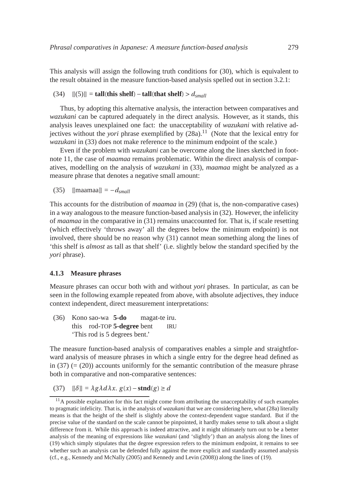This analysis will assign the following truth conditions for (30), which is equivalent to the result obtained in the measure function-based analysis spelled out in section 3.2.1:

## (34) [[(5)]] = **tall**(**this shelf**)−**tall**(**that shelf**) > *dsmall*

Thus, by adopting this alternative analysis, the interaction between comparatives and *wazukani* can be captured adequately in the direct analysis. However, as it stands, this analysis leaves unexplained one fact: the unacceptability of *wazukani* with relative adjectives without the *yori* phrase exemplified by  $(28a)^{11}$  (Note that the lexical entry for *wazukani* in (33) does not make reference to the minimum endpoint of the scale.)

Even if the problem with *wazukani* can be overcome along the lines sketched in footnote 11, the case of *maamaa* remains problematic. Within the direct analysis of comparatives, modelling on the analysis of *wazukani* in (33), *maamaa* might be analyzed as a measure phrase that denotes a negative small amount:

(35)  $\text{[[maama]]} = -d_{\text{small}}$ 

This accounts for the distribution of *maamaa* in (29) (that is, the non-comparative cases) in a way analogous to the measure function-based analysis in (32). However, the infelicity of *maamaa* in the comparative in (31) remains unaccounted for. That is, if scale resetting (which effectively 'throws away' all the degrees below the minimum endpoint) is not involved, there should be no reason why (31) cannot mean something along the lines of 'this shelf is *almost* as tall as that shelf' (i.e. slightly below the standard specified by the *yori* phrase).

#### **4.1.3 Measure phrases**

Measure phrases can occur both with and without *yori* phrases. In particular, as can be seen in the following example repeated from above, with absolute adjectives, they induce context independent, direct measurement interpretations:

(36) Kono sao-wa **5-do** this rod-TOP **5-degree** bent magat-te iru. IRU 'This rod is 5 degrees bent.'

The measure function-based analysis of comparatives enables a simple and straightforward analysis of measure phrases in which a single entry for the degree head defined as in  $(37)$  (=  $(20)$ ) accounts uniformly for the semantic contribution of the measure phrase both in comparative and non-comparative sentences:

(37)  $\left[\left|\delta\right]\right] = \lambda g \lambda d \lambda x$ .  $g(x) - \text{stnd}(g) \ge d$ 

 $11A$  possible explanation for this fact might come from attributing the unacceptability of such examples to pragmatic infelicity. That is, in the analysis of *wazukani* that we are considering here, what (28a) literally means is that the height of the shelf is slightly above the context-dependent vague standard. But if the precise value of the standard on the scale cannot be pinpointed, it hardly makes sense to talk about a slight difference from it. While this approach is indeed attractive, and it might ultimately turn out to be a better analysis of the meaning of expressions like *wazukani* (and 'slightly') than an analysis along the lines of (19) which simply stipulates that the degree expression refers to the minimum endpoint, it remains to see whether such an analysis can be defended fully against the more explicit and standardly assumed analysis (cf., e.g., Kennedy and McNally (2005) and Kennedy and Levin (2008)) along the lines of (19).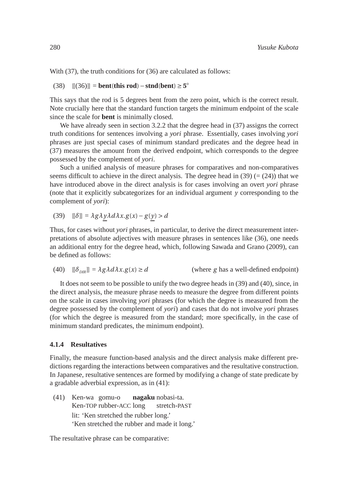With (37), the truth conditions for (36) are calculated as follows:

(38)  $[[(36)]] = \text{bent}(\text{this rod}) - \text{stnd}(\text{bent}) \ge 5^{\circ}$ 

This says that the rod is 5 degrees bent from the zero point, which is the correct result. Note crucially here that the standard function targets the minimum endpoint of the scale since the scale for **bent** is minimally closed.

We have already seen in section 3.2.2 that the degree head in (37) assigns the correct truth conditions for sentences involving a *yori* phrase. Essentially, cases involving *yori* phrases are just special cases of minimum standard predicates and the degree head in (37) measures the amount from the derived endpoint, which corresponds to the degree possessed by the complement of *yori*.

Such a unified analysis of measure phrases for comparatives and non-comparatives seems difficult to achieve in the direct analysis. The degree head in (39)  $(=(24))$  that we have introduced above in the direct analysis is for cases involving an overt *yori* phrase (note that it explicitly subcategorizes for an individual argument *y* corresponding to the complement of *yori*):

$$
(39) \quad [[\delta]] = \lambda g \lambda y \lambda d \lambda x. g(x) - g(y) > d
$$

Thus, for cases without *yori* phrases, in particular, to derive the direct measurement interpretations of absolute adjectives with measure phrases in sentences like (36), one needs an additional entry for the degree head, which, following Sawada and Grano (2009), can be defined as follows:

(40)  $\left[\delta_{DR}\right] = \lambda g \lambda d \lambda x. g(x) \ge d$  (where *g* has a well-defined endpoint)

It does not seem to be possible to unify the two degree heads in (39) and (40), since, in the direct analysis, the measure phrase needs to measure the degree from different points on the scale in cases involving *yori* phrases (for which the degree is measured from the degree possessed by the complement of *yori*) and cases that do not involve *yori* phrases (for which the degree is measured from the standard; more specifically, in the case of minimum standard predicates, the minimum endpoint).

### **4.1.4 Resultatives**

Finally, the measure function-based analysis and the direct analysis make different predictions regarding the interactions between comparatives and the resultative construction. In Japanese, resultative sentences are formed by modifying a change of state predicate by a gradable adverbial expression, as in (41):

(41) Ken-wa gomu-o Ken-TOP rubber-ACC long **nagaku** nobasi-ta. stretch-PAST lit: 'Ken stretched the rubber long.' 'Ken stretched the rubber and made it long.'

The resultative phrase can be comparative: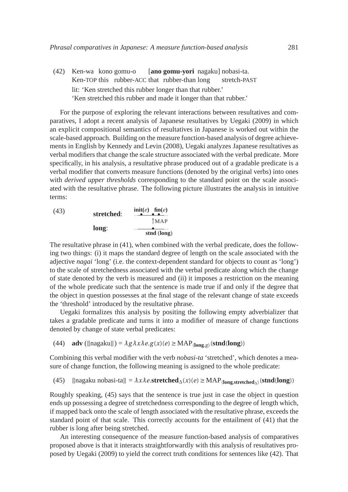(42) Ken-wa kono gomu-o Ken-TOP this rubber-ACC that rubber-than long [**ano gomu-yori** nagaku] nobasi-ta. stretch-PAST lit: 'Ken stretched this rubber longer than that rubber.' 'Ken stretched this rubber and made it longer than that rubber.'

For the purpose of exploring the relevant interactions between resultatives and comparatives, I adopt a recent analysis of Japanese resultatives by Uegaki (2009) in which an explicit compositional semantics of resultatives in Japanese is worked out within the scale-based approach. Building on the measure function-based analysis of degree achievements in English by Kennedy and Levin (2008), Uegaki analyzes Japanese resultatives as verbal modifiers that change the scale structure associated with the verbal predicate. More specifically, in his analysis, a resultative phrase produced out of a gradable predicate is a verbal modifier that converts measure functions (denoted by the original verbs) into ones with *derived upper thresholds* corresponding to the standard point on the scale associated with the resultative phrase. The following picture illustrates the analysis in intuitive terms:

| (43) | stretched: | $\text{init}(e)$ fin $(e)$ |
|------|------------|----------------------------|
|      |            | <b>TMAP</b>                |
|      | long:      | stnd (long)                |

The resultative phrase in (41), when combined with the verbal predicate, does the following two things: (i) it maps the standard degree of length on the scale associated with the adjective *nagai* 'long' (i.e. the context-dependent standard for objects to count as 'long') to the scale of stretchedness associated with the verbal predicate along which the change of state denoted by the verb is measured and (ii) it imposes a restriction on the meaning of the whole predicate such that the sentence is made true if and only if the degree that the object in question possesses at the final stage of the relevant change of state exceeds the 'threshold' introduced by the resultative phrase.

Uegaki formalizes this analysis by positing the following empty adverbializer that takes a gradable predicate and turns it into a modifier of measure of change functions denoted by change of state verbal predicates:

(44) **adv** ([[nagaku]]) = 
$$
\lambda g \lambda x \lambda e.g(x)(e) \geq \text{MAP}_{\langle \text{long}, g \rangle}(\text{stnd}(\text{long}))
$$

Combining this verbal modifier with the verb *nobasi-ta* 'stretched', which denotes a measure of change function, the following meaning is assigned to the whole predicate:

(45) [[nagaku nobasi-ta]] = 
$$
\lambda x \lambda e
$$
.**stretched** <sub>$\Delta$</sub> ( $x$ )( $e$ )  $\geq$  MAP <sub>$\langle$ long,stretched <sub>$\Delta$</sub></sub>  (**stnd(long**))

Roughly speaking, (45) says that the sentence is true just in case the object in question ends up possessing a degree of stretchedness corresponding to the degree of length which, if mapped back onto the scale of length associated with the resultative phrase, exceeds the standard point of that scale. This correctly accounts for the entailment of (41) that the rubber is long after being stretched.

An interesting consequence of the measure function-based analysis of comparatives proposed above is that it interacts straightforwardly with this analysis of resultatives proposed by Uegaki (2009) to yield the correct truth conditions for sentences like (42). That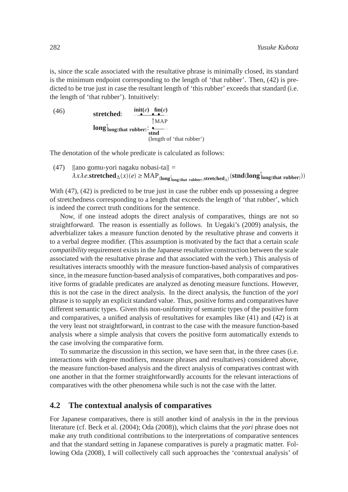is, since the scale associated with the resultative phrase is minimally closed, its standard is the minimum endpoint corresponding to the length of 'that rubber'. Then, (42) is predicted to be true just in case the resultant length of 'this rubber' exceeds that standard (*i.e.*) the length of 'that rubber'). Intuitively:

(46) **stretched:** 
$$
\begin{array}{ccc}\n\text{int}(e) & \text{fin}(e) & \text{fin}(e) \\
\hline\n\text{1} & \text{1} & \text{1} & \text{1} \\
\text{1} & \text{1} & \text{1} & \text{1} \\
\text{1} & \text{1} & \text{1} & \text{1} \\
\text{1} & \text{1} & \text{1} & \text{1} \\
\text{1} & \text{1} & \text{1} & \text{1} \\
\text{1} & \text{1} & \text{1} & \text{1} \\
\text{1} & \text{1} & \text{1} & \text{1} \\
\text{1} & \text{1} & \text{1} & \text{1} \\
\text{1} & \text{1} & \text{1} & \text{1} \\
\text{1} & \text{1} & \text{1} & \text{1} \\
\text{1} & \text{1} & \text{1} & \text{1} \\
\text{1} & \text{1} & \text{1} & \text{1} \\
\text{1} & \text{1} & \text{1} & \text{1} \\
\text{1} & \text{1} & \text{1} & \text{1} \\
\text{1} & \text{1} & \text{1} & \text{1} \\
\text{1} & \text{1} & \text{1} & \text{1} \\
\text{1} & \text{1} & \text{1} & \text{1} \\
\text{1} & \text{1} & \text{1} & \text{1} \\
\text{1} & \text{1} & \text{1} & \text{1} \\
\text{1} & \text{1} & \text{1} & \text{1} \\
\text{1} & \text{1} & \text{1} & \text{1} \\
\text{1} & \text{1} & \text{1} & \text{1} \\
\text{1} & \text{1} & \text{1} & \text{1} \\
\text{1} & \text{1} & \text{1} & \text{1} \\
\text{1} & \text{1} & \text{1} & \text{1} \\
\text{1} & \text{1} & \text{1} & \text{1} \\
\text{1} & \text{1} & \text{1} & \text{1} \\
\text{1} & \text{1} & \text{1} & \text{1} \\
\text{1} & \text{1} & \text{1} & \text{1} \\
\text{1} & \text{1} & \text{
$$

The denotation of the whole predicate is calculated as follows:

(47) [[ano gomu-yori nagaku nobasi-ta]]  $=$  $\lambda$ *x* $\lambda$ *e*.**stretched**△(*x*)(*e*) ≥ MAP<sub>〈</sub>long<sup>†</sup><sub>long(that rubber)</sub>,stretched<sub>△</sub>>(**stnd**(**long**<sup>†</sup><sub>long(that rubber)))</sub>

With (47), (42) is predicted to be true just in case the rubber ends up possessing a degree of stretchedness corresponding to a length that exceeds the length of 'that rubber', which is indeed the correct truth conditions for the sentence.

Now, if one instead adopts the direct analysis of comparatives, things are not so straightforward. The reason is essentially as follows. In Uegaki's (2009) analysis, the adverbializer takes a measure function denoted by the resultative phrase and converts it to a verbal degree modifier. (This assumption is motivated by the fact that a certain *scale compatibility* requirement exists in the Japanese resultative construction between the scale associated with the resultative phrase and that associated with the verb.) This analysis of resultatives interacts smoothly with the measure function-based analysis of comparatives since, in the measure function-based analysis of comparatives, both comparatives and positive forms of gradable predicates are analyzed as denoting measure functions. However, this is not the case in the direct analysis. In the direct analysis, the function of the *yori* phrase is to supply an explicit standard value. Thus, positive forms and comparatives have different semantic types. Given this non-uniformity of semantic types of the positive form and comparatives, a unified analysis of resultatives for examples like (41) and (42) is at the very least not straightforward, in contrast to the case with the measure function-based analysis where a simple analysis that covers the positive form automatically extends to the case involving the comparative form.

To summarize the discussion in this section, we have seen that, in the three cases (i.e. interactions with degree modifiers, measure phrases and resultatives) considered above, the measure function-based analysis and the direct analysis of comparatives contrast with one another in that the former straightforwardly accounts for the relevant interactions of comparatives with the other phenomena while such is not the case with the latter.

## **4.2 The contextual analysis of comparatives**

For Japanese comparatives, there is still another kind of analysis in the in the previous literature (cf. Beck et al. (2004); Oda (2008)), which claims that the *yori* phrase does not make any truth conditional contributions to the interpretations of comparative sentences and that the standard setting in Japanese comparatives is purely a pragmatic matter. Following Oda (2008), I will collectively call such approaches the 'contextual analysis' of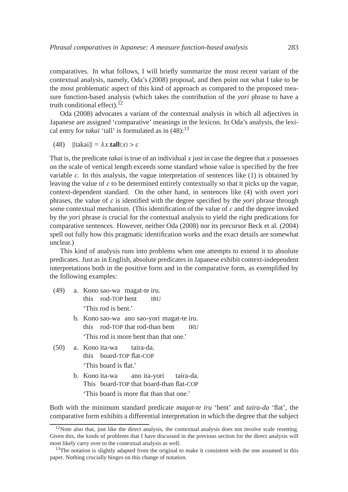comparatives. In what follows, I will briefly summarize the most recent variant of the contextual analysis, namely, Oda's (2008) proposal, and then point out what I take to be the most problematic aspect of this kind of approach as compared to the proposed measure function-based analysis (which takes the contribution of the *yori* phrase to have a truth conditional effect). $12$ 

Oda (2008) advocates a variant of the contextual analysis in which all adjectives in Japanese are assigned 'comparative' meanings in the lexicon. In Oda's analysis, the lexical entry for *takai* 'tall' is formulated as in  $(48)$ :<sup>13</sup>

(48)  $[$ [takai]] =  $\lambda x$ **.tall**(*x*) > *c* 

That is, the predicate *takai* is true of an individual *x* just in case the degree that *x* possesses on the scale of vertical length exceeds some standard whose value is specified by the free variable  $c$ . In this analysis, the vague interpretation of sentences like  $(1)$  is obtained by leaving the value of *c* to be determined entirely contextually so that it picks up the vague, context-dependent standard. On the other hand, in sentences like (4) with overt *yori* phrases, the value of *c* is identified with the degree specified by the *yori* phrase through some contextual mechanism. (This identification of the value of *c* and the degree invoked by the *yori* phrase is crucial for the contextual analysis to yield the right predications for comparative sentences. However, neither Oda (2008) nor its precursor Beck et al. (2004) spell out fully how this pragmatic identification works and the exact details are somewhat unclear.)

This kind of analysis runs into problems when one attempts to extend it to absolute predicates. Just as in English, absolute predicates in Japanese exhibit context-independent interpretations both in the positive form and in the comparative form, as exemplified by the following examples:

- (49) a. Kono sao-wa magat-te iru. this rod-TOP bent **IRU** 'This rod is bent.'
	- b. Kono sao-wa ano sao-yori magat-te iru. this rod-TOP that rod-than bent **IRU** 'This rod is more bent than that one.'
- (50) a. Kono ita-wa this board-TOP flat-COP taira-da. 'This board is flat.'
	- b. Kono ita-wa This board-TOP that board-than flat-COP ano ita-yori taira-da. 'This board is more flat than that one.'

Both with the minimum standard predicate *magat-te iru* 'bent' and *taira-da* 'flat', the comparative form exhibits a differential interpretation in which the degree that the subject

 $12$ Note also that, just like the direct analysis, the contextual analysis does not involve scale resetting. Given this, the kinds of problems that I have discussed in the previous section for the direct analysis will most likely carry over to the contextual analysis as well.

 $13$ The notation is slightly adapted from the original to make it consistent with the one assumed in this paper. Nothing crucially hinges on this change of notation.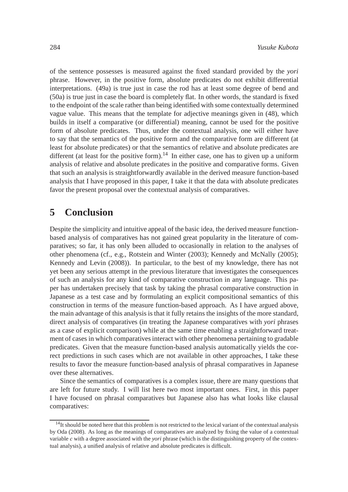of the sentence possesses is measured against the fixed standard provided by the *yori* phrase. However, in the positive form, absolute predicates do not exhibit differential interpretations. (49a) is true just in case the rod has at least some degree of bend and (50a) is true just in case the board is completely flat. In other words, the standard is fixed to the endpoint of the scale rather than being identified with some contextually determined vague value. This means that the template for adjective meanings given in (48), which builds in itself a comparative (or differential) meaning, cannot be used for the positive form of absolute predicates. Thus, under the contextual analysis, one will either have to say that the semantics of the positive form and the comparative form are different (at least for absolute predicates) or that the semantics of relative and absolute predicates are different (at least for the positive form).<sup>14</sup> In either case, one has to given up a uniform analysis of relative and absolute predicates in the positive and comparative forms. Given that such an analysis is straightforwardly available in the derived measure function-based analysis that I have proposed in this paper, I take it that the data with absolute predicates favor the present proposal over the contextual analysis of comparatives.

# **5 Conclusion**

Despite the simplicity and intuitive appeal of the basic idea, the derived measure functionbased analysis of comparatives has not gained great popularity in the literature of comparatives; so far, it has only been alluded to occasionally in relation to the analyses of other phenomena (cf., e.g., Rotstein and Winter (2003); Kennedy and McNally (2005); Kennedy and Levin (2008)). In particular, to the best of my knowledge, there has not yet been any serious attempt in the previous literature that investigates the consequences of such an analysis for any kind of comparative construction in any language. This paper has undertaken precisely that task by taking the phrasal comparative construction in Japanese as a test case and by formulating an explicit compositional semantics of this construction in terms of the measure function-based approach. As I have argued above, the main advantage of this analysis is that it fully retains the insights of the more standard, direct analysis of comparatives (in treating the Japanese comparatives with *yori* phrases as a case of explicit comparison) while at the same time enabling a straightforward treatment of cases in which comparatives interact with other phenomena pertaining to gradable predicates. Given that the measure function-based analysis automatically yields the correct predictions in such cases which are not available in other approaches, I take these results to favor the measure function-based analysis of phrasal comparatives in Japanese over these alternatives.

Since the semantics of comparatives is a complex issue, there are many questions that are left for future study. I will list here two most important ones. First, in this paper I have focused on phrasal comparatives but Japanese also has what looks like clausal comparatives:

<sup>&</sup>lt;sup>14</sup>It should be noted here that this problem is not restricted to the lexical variant of the contextual analysis by Oda (2008). As long as the meanings of comparatives are analyzed by fixing the value of a contextual variable *c* with a degree associated with the *yori* phrase (which is the distinguishing property of the contextual analysis), a unified analysis of relative and absolute predicates is difficult.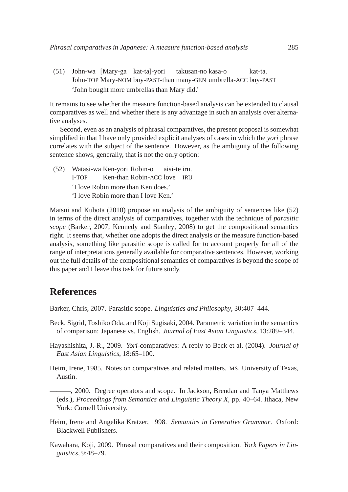(51) John-wa [Mary-ga kat-ta]-yori John-TOP Mary-NOM buy-PAST-than many-GEN umbrella-ACC buy-PAST takusan-no kasa-o kat-ta. 'John bought more umbrellas than Mary did.'

It remains to see whether the measure function-based analysis can be extended to clausal comparatives as well and whether there is any advantage in such an analysis over alternative analyses.

Second, even as an analysis of phrasal comparatives, the present proposal is somewhat simplified in that I have only provided explicit analyses of cases in which the *yori* phrase correlates with the subject of the sentence. However, as the ambiguity of the following sentence shows, generally, that is not the only option:

(52) Watasi-wa Ken-yori Robin-o I-TOP Ken-than Robin-ACC love IRU aisi-te iru. 'I love Robin more than Ken does.' 'I love Robin more than I love Ken.'

Matsui and Kubota (2010) propose an analysis of the ambiguity of sentences like (52) in terms of the direct analysis of comparatives, together with the technique of *parasitic scope* (Barker, 2007; Kennedy and Stanley, 2008) to get the compositional semantics right. It seems that, whether one adopts the direct analysis or the measure function-based analysis, something like parasitic scope is called for to account properly for all of the range of interpretations generally available for comparative sentences. However, working out the full details of the compositional semantics of comparatives is beyond the scope of this paper and I leave this task for future study.

# **References**

Barker, Chris, 2007. Parasitic scope. *Linguistics and Philosophy*, 30:407–444.

- Beck, Sigrid, Toshiko Oda, and Koji Sugisaki, 2004. Parametric variation in the semantics of comparison: Japanese vs. English. *Journal of East Asian Linguistics*, 13:289–344.
- Hayashishita, J.-R., 2009. *Yori*-comparatives: A reply to Beck et al. (2004). *Journal of East Asian Linguistics*, 18:65–100.
- Heim, Irene, 1985. Notes on comparatives and related matters. MS, University of Texas, Austin.

———, 2000. Degree operators and scope. In Jackson, Brendan and Tanya Matthews (eds.), *Proceedings from Semantics and Linguistic Theory X*, pp. 40–64. Ithaca, New York: Cornell University.

- Heim, Irene and Angelika Kratzer, 1998. *Semantics in Generative Grammar*. Oxford: Blackwell Publishers.
- Kawahara, Koji, 2009. Phrasal comparatives and their composition. *York Papers in Linguistics*, 9:48–79.